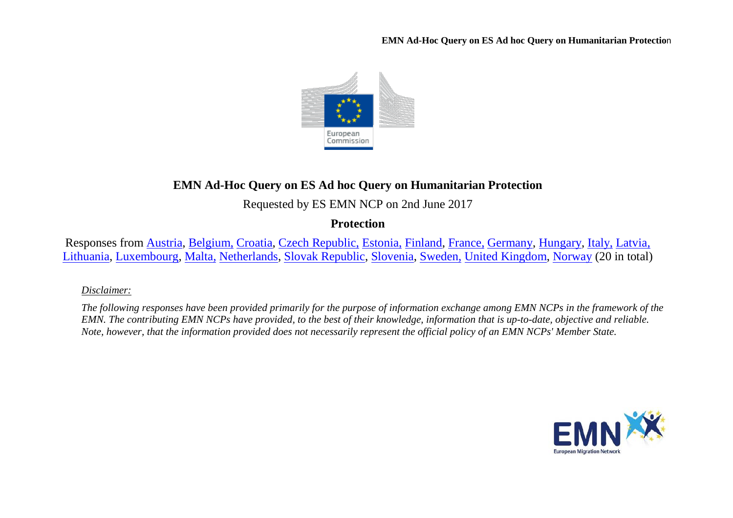

# **EMN Ad-Hoc Query on ES Ad hoc Query on Humanitarian Protection**

Requested by ES EMN NCP on 2nd June 2017

**Protection**

Responses from [Austria,](#page-1-0) [Belgium,](#page-2-0) [Croatia,](#page-4-0) [Czech Republic,](#page-4-1) [Estonia,](#page-5-0) [Finland,](#page-5-1) [France,](#page-6-0) [Germany,](#page-7-0) [Hungary,](#page-7-1) [Italy,](#page-8-0) [Latvia,](#page-9-0) [Lithuania,](#page-9-1) [Luxembourg,](#page-9-2) [Malta,](#page-10-0) [Netherlands,](#page-12-0) [Slovak Republic,](#page-13-0) [Slovenia,](#page-14-0) [Sweden,](#page-14-1) [United Kingdom,](#page-15-0) [Norway](#page-17-0) (20 in total)

## *Disclaimer:*

*The following responses have been provided primarily for the purpose of information exchange among EMN NCPs in the framework of the EMN. The contributing EMN NCPs have provided, to the best of their knowledge, information that is up-to-date, objective and reliable. Note, however, that the information provided does not necessarily represent the official policy of an EMN NCPs' Member State.*

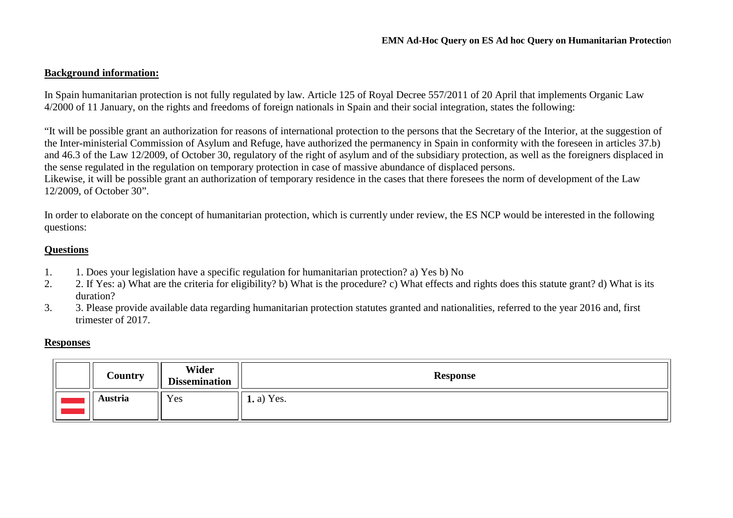### **Background information:**

In Spain humanitarian protection is not fully regulated by law. Article 125 of Royal Decree 557/2011 of 20 April that implements Organic Law 4/2000 of 11 January, on the rights and freedoms of foreign nationals in Spain and their social integration, states the following:

"It will be possible grant an authorization for reasons of international protection to the persons that the Secretary of the Interior, at the suggestion of the Inter-ministerial Commission of Asylum and Refuge, have authorized the permanency in Spain in conformity with the foreseen in articles 37.b) and 46.3 of the Law 12/2009, of October 30, regulatory of the right of asylum and of the subsidiary protection, as well as the foreigners displaced in the sense regulated in the regulation on temporary protection in case of massive abundance of displaced persons. Likewise, it will be possible grant an authorization of temporary residence in the cases that there foresees the norm of development of the Law

12/2009, of October 30".

In order to elaborate on the concept of humanitarian protection, which is currently under review, the ES NCP would be interested in the following questions:

### **Questions**

- 1. 1. Does your legislation have a specific regulation for humanitarian protection? a) Yes b) No
- 2. 2. If Yes: a) What are the criteria for eligibility? b) What is the procedure? c) What effects and rights does this statute grant? d) What is its duration?
- 3. 3. Please provide available data regarding humanitarian protection statutes granted and nationalities, referred to the year 2016 and, first trimester of 2017.

### **Responses**

<span id="page-1-0"></span>

| <b>Country</b> | Wider<br><b>Dissemination</b> | <b>Response</b>   |
|----------------|-------------------------------|-------------------|
| Austria        | Yes                           | <b>1.</b> a) Yes. |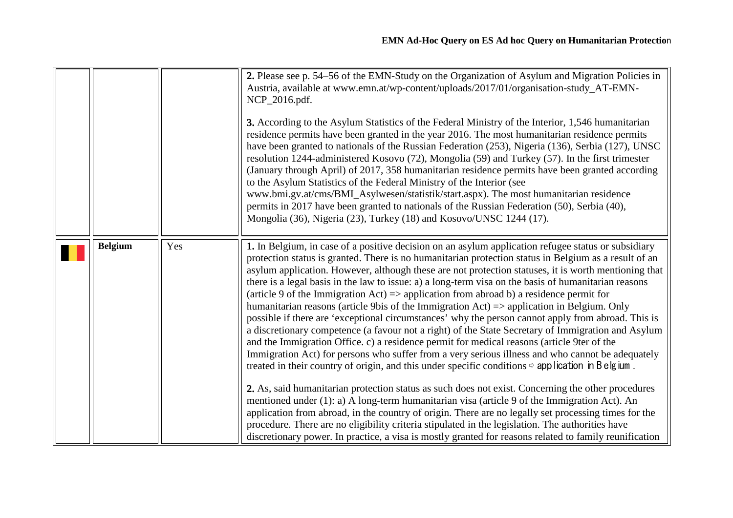<span id="page-2-0"></span>

|                |     | 2. Please see p. 54–56 of the EMN-Study on the Organization of Asylum and Migration Policies in<br>Austria, available at www.emn.at/wp-content/uploads/2017/01/organisation-study_AT-EMN-<br>NCP_2016.pdf.<br>3. According to the Asylum Statistics of the Federal Ministry of the Interior, 1,546 humanitarian<br>residence permits have been granted in the year 2016. The most humanitarian residence permits<br>have been granted to nationals of the Russian Federation (253), Nigeria (136), Serbia (127), UNSC<br>resolution 1244-administered Kosovo (72), Mongolia (59) and Turkey (57). In the first trimester<br>(January through April) of 2017, 358 humanitarian residence permits have been granted according<br>to the Asylum Statistics of the Federal Ministry of the Interior (see<br>www.bmi.gv.at/cms/BMI_Asylwesen/statistik/start.aspx). The most humanitarian residence<br>permits in 2017 have been granted to nationals of the Russian Federation (50), Serbia (40),<br>Mongolia (36), Nigeria (23), Turkey (18) and Kosovo/UNSC 1244 (17).                                                                                                                                                                                                                                                                                                                                                                                                                                                                                                                                                                                                                                   |
|----------------|-----|--------------------------------------------------------------------------------------------------------------------------------------------------------------------------------------------------------------------------------------------------------------------------------------------------------------------------------------------------------------------------------------------------------------------------------------------------------------------------------------------------------------------------------------------------------------------------------------------------------------------------------------------------------------------------------------------------------------------------------------------------------------------------------------------------------------------------------------------------------------------------------------------------------------------------------------------------------------------------------------------------------------------------------------------------------------------------------------------------------------------------------------------------------------------------------------------------------------------------------------------------------------------------------------------------------------------------------------------------------------------------------------------------------------------------------------------------------------------------------------------------------------------------------------------------------------------------------------------------------------------------------------------------------------------------------------------------------|
| <b>Belgium</b> | Yes | 1. In Belgium, in case of a positive decision on an asylum application refugee status or subsidiary<br>protection status is granted. There is no humanitarian protection status in Belgium as a result of an<br>asylum application. However, although these are not protection statuses, it is worth mentioning that<br>there is a legal basis in the law to issue: a) a long-term visa on the basis of humanitarian reasons<br>(article 9 of the Immigration Act) $\Rightarrow$ application from abroad b) a residence permit for<br>humanitarian reasons (article 9bis of the Immigration Act) $\Rightarrow$ application in Belgium. Only<br>possible if there are 'exceptional circumstances' why the person cannot apply from abroad. This is<br>a discretionary competence (a favour not a right) of the State Secretary of Immigration and Asylum<br>and the Immigration Office. c) a residence permit for medical reasons (article 9ter of the<br>Immigration Act) for persons who suffer from a very serious illness and who cannot be adequately<br>treated in their country of origin, and this under specific conditions $\Rightarrow$ application in B elgium.<br>2. As, said humanitarian protection status as such does not exist. Concerning the other procedures<br>mentioned under (1): a) A long-term humanitarian visa (article 9 of the Immigration Act). An<br>application from abroad, in the country of origin. There are no legally set processing times for the<br>procedure. There are no eligibility criteria stipulated in the legislation. The authorities have<br>discretionary power. In practice, a visa is mostly granted for reasons related to family reunification |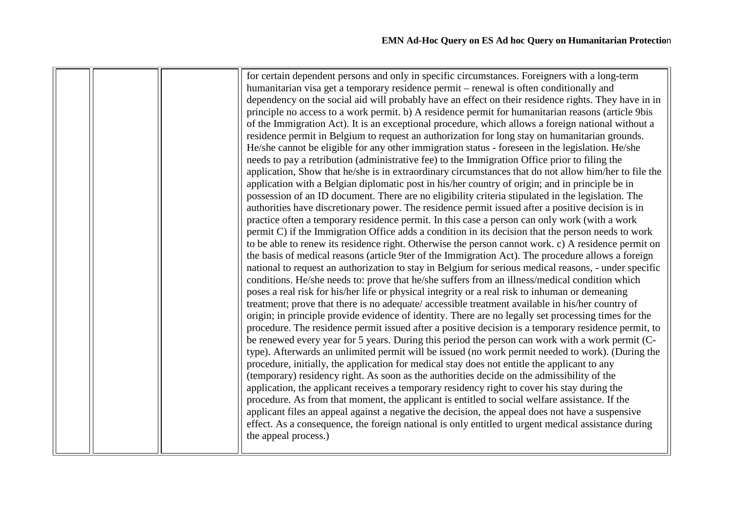|  | for certain dependent persons and only in specific circumstances. Foreigners with a long-term         |
|--|-------------------------------------------------------------------------------------------------------|
|  | humanitarian visa get a temporary residence permit – renewal is often conditionally and               |
|  | dependency on the social aid will probably have an effect on their residence rights. They have in in  |
|  | principle no access to a work permit. b) A residence permit for humanitarian reasons (article 9bis    |
|  | of the Immigration Act). It is an exceptional procedure, which allows a foreign national without a    |
|  | residence permit in Belgium to request an authorization for long stay on humanitarian grounds.        |
|  | He/she cannot be eligible for any other immigration status - foreseen in the legislation. He/she      |
|  | needs to pay a retribution (administrative fee) to the Immigration Office prior to filing the         |
|  | application, Show that he/she is in extraordinary circumstances that do not allow him/her to file the |
|  | application with a Belgian diplomatic post in his/her country of origin; and in principle be in       |
|  | possession of an ID document. There are no eligibility criteria stipulated in the legislation. The    |
|  | authorities have discretionary power. The residence permit issued after a positive decision is in     |
|  | practice often a temporary residence permit. In this case a person can only work (with a work         |
|  | permit C) if the Immigration Office adds a condition in its decision that the person needs to work    |
|  | to be able to renew its residence right. Otherwise the person cannot work. c) A residence permit on   |
|  | the basis of medical reasons (article 9ter of the Immigration Act). The procedure allows a foreign    |
|  | national to request an authorization to stay in Belgium for serious medical reasons, - under specific |
|  | conditions. He/she needs to: prove that he/she suffers from an illness/medical condition which        |
|  | poses a real risk for his/her life or physical integrity or a real risk to inhuman or demeaning       |
|  | treatment; prove that there is no adequate/ accessible treatment available in his/her country of      |
|  | origin; in principle provide evidence of identity. There are no legally set processing times for the  |
|  | procedure. The residence permit issued after a positive decision is a temporary residence permit, to  |
|  | be renewed every year for 5 years. During this period the person can work with a work permit (C-      |
|  | type). Afterwards an unlimited permit will be issued (no work permit needed to work). (During the     |
|  | procedure, initially, the application for medical stay does not entitle the applicant to any          |
|  | (temporary) residency right. As soon as the authorities decide on the admissibility of the            |
|  | application, the applicant receives a temporary residency right to cover his stay during the          |
|  | procedure. As from that moment, the applicant is entitled to social welfare assistance. If the        |
|  | applicant files an appeal against a negative the decision, the appeal does not have a suspensive      |
|  | effect. As a consequence, the foreign national is only entitled to urgent medical assistance during   |
|  | the appeal process.)                                                                                  |
|  |                                                                                                       |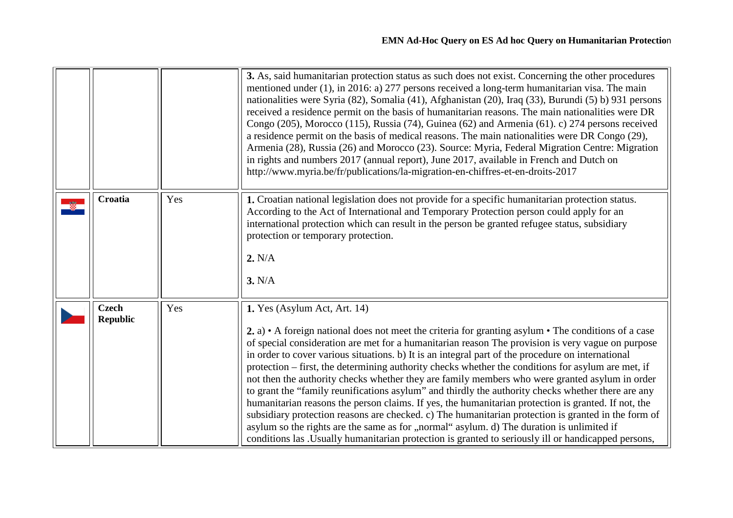<span id="page-4-1"></span><span id="page-4-0"></span>

|                                 |     | 3. As, said humanitarian protection status as such does not exist. Concerning the other procedures<br>mentioned under (1), in 2016: a) 277 persons received a long-term humanitarian visa. The main<br>nationalities were Syria (82), Somalia (41), Afghanistan (20), Iraq (33), Burundi (5) b) 931 persons<br>received a residence permit on the basis of humanitarian reasons. The main nationalities were DR<br>Congo (205), Morocco (115), Russia (74), Guinea (62) and Armenia (61). c) 274 persons received<br>a residence permit on the basis of medical reasons. The main nationalities were DR Congo (29),<br>Armenia (28), Russia (26) and Morocco (23). Source: Myria, Federal Migration Centre: Migration<br>in rights and numbers 2017 (annual report), June 2017, available in French and Dutch on<br>http://www.myria.be/fr/publications/la-migration-en-chiffres-et-en-droits-2017                                                                                                                                                                                              |
|---------------------------------|-----|-------------------------------------------------------------------------------------------------------------------------------------------------------------------------------------------------------------------------------------------------------------------------------------------------------------------------------------------------------------------------------------------------------------------------------------------------------------------------------------------------------------------------------------------------------------------------------------------------------------------------------------------------------------------------------------------------------------------------------------------------------------------------------------------------------------------------------------------------------------------------------------------------------------------------------------------------------------------------------------------------------------------------------------------------------------------------------------------------|
| Croatia                         | Yes | 1. Croatian national legislation does not provide for a specific humanitarian protection status.<br>According to the Act of International and Temporary Protection person could apply for an<br>international protection which can result in the person be granted refugee status, subsidiary<br>protection or temporary protection.<br>2. N/A<br>3. N/A                                                                                                                                                                                                                                                                                                                                                                                                                                                                                                                                                                                                                                                                                                                                        |
| <b>Czech</b><br><b>Republic</b> | Yes | 1. Yes (Asylum Act, Art. 14)<br>2. a) $\bullet$ A foreign national does not meet the criteria for granting asylum $\bullet$ The conditions of a case<br>of special consideration are met for a humanitarian reason The provision is very vague on purpose<br>in order to cover various situations. b) It is an integral part of the procedure on international<br>protection – first, the determining authority checks whether the conditions for asylum are met, if<br>not then the authority checks whether they are family members who were granted asylum in order<br>to grant the "family reunifications asylum" and thirdly the authority checks whether there are any<br>humanitarian reasons the person claims. If yes, the humanitarian protection is granted. If not, the<br>subsidiary protection reasons are checked. c) The humanitarian protection is granted in the form of<br>asylum so the rights are the same as for "normal" asylum. d) The duration is unlimited if<br>conditions las . Usually humanitarian protection is granted to seriously ill or handicapped persons, |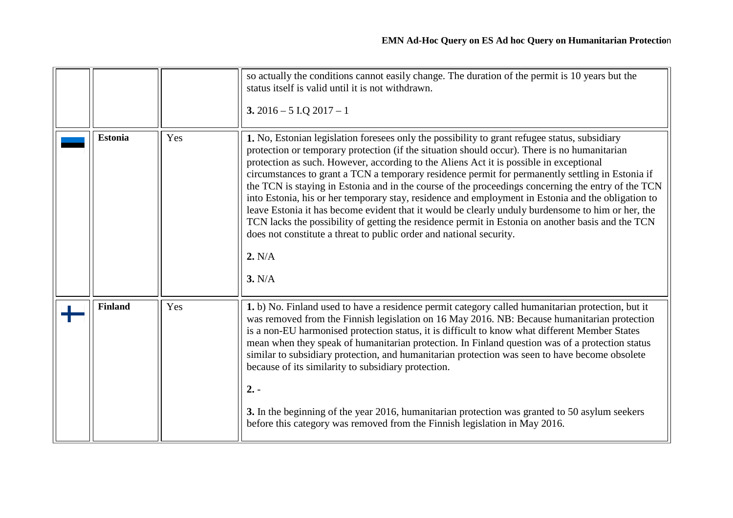<span id="page-5-1"></span><span id="page-5-0"></span>

|                |     | so actually the conditions cannot easily change. The duration of the permit is 10 years but the<br>status itself is valid until it is not withdrawn.<br>3. $2016 - 5$ I.Q $2017 - 1$                                                                                                                                                                                                                                                                                                                                                                                                                                                                                                                                                                                                                                                                                                                         |
|----------------|-----|--------------------------------------------------------------------------------------------------------------------------------------------------------------------------------------------------------------------------------------------------------------------------------------------------------------------------------------------------------------------------------------------------------------------------------------------------------------------------------------------------------------------------------------------------------------------------------------------------------------------------------------------------------------------------------------------------------------------------------------------------------------------------------------------------------------------------------------------------------------------------------------------------------------|
| <b>Estonia</b> | Yes | 1. No, Estonian legislation foresees only the possibility to grant refugee status, subsidiary<br>protection or temporary protection (if the situation should occur). There is no humanitarian<br>protection as such. However, according to the Aliens Act it is possible in exceptional<br>circumstances to grant a TCN a temporary residence permit for permanently settling in Estonia if<br>the TCN is staying in Estonia and in the course of the proceedings concerning the entry of the TCN<br>into Estonia, his or her temporary stay, residence and employment in Estonia and the obligation to<br>leave Estonia it has become evident that it would be clearly unduly burdensome to him or her, the<br>TCN lacks the possibility of getting the residence permit in Estonia on another basis and the TCN<br>does not constitute a threat to public order and national security.<br>2. N/A<br>3. N/A |
| <b>Finland</b> | Yes | 1. b) No. Finland used to have a residence permit category called humanitarian protection, but it<br>was removed from the Finnish legislation on 16 May 2016. NB: Because humanitarian protection<br>is a non-EU harmonised protection status, it is difficult to know what different Member States<br>mean when they speak of humanitarian protection. In Finland question was of a protection status<br>similar to subsidiary protection, and humanitarian protection was seen to have become obsolete<br>because of its similarity to subsidiary protection.<br>$2. -$<br>3. In the beginning of the year 2016, humanitarian protection was granted to 50 asylum seekers<br>before this category was removed from the Finnish legislation in May 2016.                                                                                                                                                    |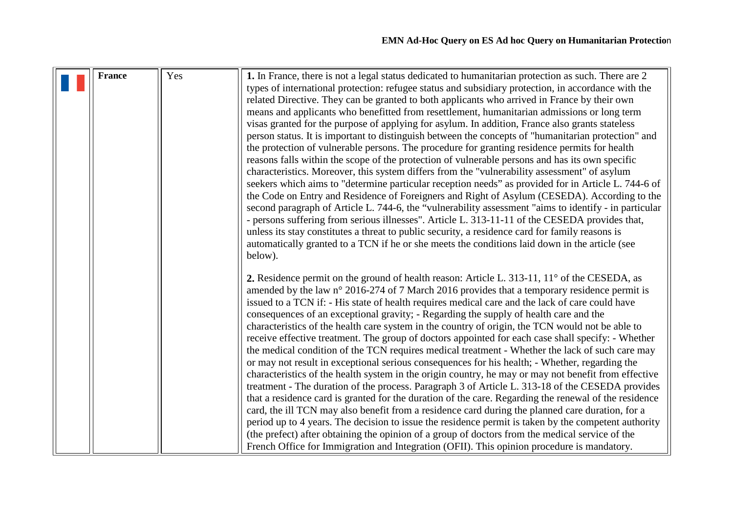<span id="page-6-0"></span>

| <b>France</b> | Yes | 1. In France, there is not a legal status dedicated to humanitarian protection as such. There are 2   |
|---------------|-----|-------------------------------------------------------------------------------------------------------|
|               |     | types of international protection: refugee status and subsidiary protection, in accordance with the   |
|               |     | related Directive. They can be granted to both applicants who arrived in France by their own          |
|               |     | means and applicants who benefitted from resettlement, humanitarian admissions or long term           |
|               |     | visas granted for the purpose of applying for asylum. In addition, France also grants stateless       |
|               |     | person status. It is important to distinguish between the concepts of "humanitarian protection" and   |
|               |     | the protection of vulnerable persons. The procedure for granting residence permits for health         |
|               |     |                                                                                                       |
|               |     | reasons falls within the scope of the protection of vulnerable persons and has its own specific       |
|               |     | characteristics. Moreover, this system differs from the "vulnerability assessment" of asylum          |
|               |     | seekers which aims to "determine particular reception needs" as provided for in Article L. 744-6 of   |
|               |     | the Code on Entry and Residence of Foreigners and Right of Asylum (CESEDA). According to the          |
|               |     | second paragraph of Article L. 744-6, the "vulnerability assessment "aims to identify - in particular |
|               |     | - persons suffering from serious illnesses". Article L. 313-11-11 of the CESEDA provides that,        |
|               |     | unless its stay constitutes a threat to public security, a residence card for family reasons is       |
|               |     | automatically granted to a TCN if he or she meets the conditions laid down in the article (see        |
|               |     | below).                                                                                               |
|               |     |                                                                                                       |
|               |     | 2. Residence permit on the ground of health reason: Article L. 313-11, 11° of the CESEDA, as          |
|               |     | amended by the law n° 2016-274 of 7 March 2016 provides that a temporary residence permit is          |
|               |     | issued to a TCN if: - His state of health requires medical care and the lack of care could have       |
|               |     | consequences of an exceptional gravity; - Regarding the supply of health care and the                 |
|               |     | characteristics of the health care system in the country of origin, the TCN would not be able to      |
|               |     | receive effective treatment. The group of doctors appointed for each case shall specify: - Whether    |
|               |     | the medical condition of the TCN requires medical treatment - Whether the lack of such care may       |
|               |     | or may not result in exceptional serious consequences for his health; - Whether, regarding the        |
|               |     | characteristics of the health system in the origin country, he may or may not benefit from effective  |
|               |     | treatment - The duration of the process. Paragraph 3 of Article L. 313-18 of the CESEDA provides      |
|               |     | that a residence card is granted for the duration of the care. Regarding the renewal of the residence |
|               |     | card, the ill TCN may also benefit from a residence card during the planned care duration, for a      |
|               |     |                                                                                                       |
|               |     | period up to 4 years. The decision to issue the residence permit is taken by the competent authority  |
|               |     | (the prefect) after obtaining the opinion of a group of doctors from the medical service of the       |
|               |     | French Office for Immigration and Integration (OFII). This opinion procedure is mandatory.            |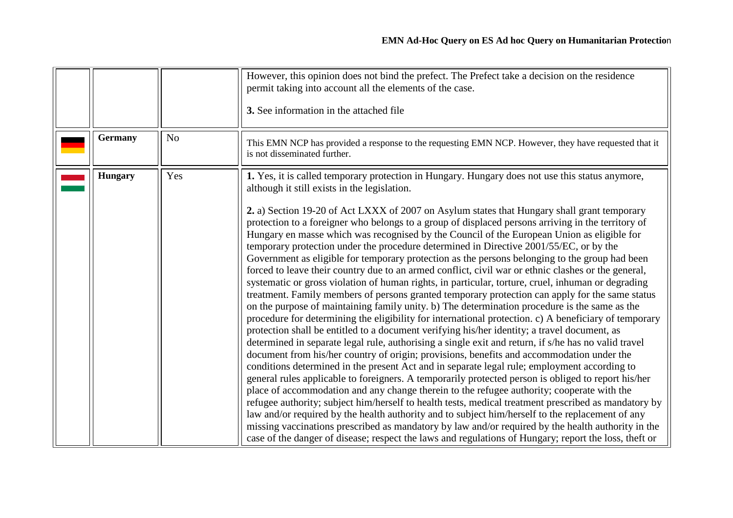<span id="page-7-1"></span><span id="page-7-0"></span>

| <b>Germany</b> | N <sub>o</sub> | However, this opinion does not bind the prefect. The Prefect take a decision on the residence<br>permit taking into account all the elements of the case.<br>3. See information in the attached file<br>This EMN NCP has provided a response to the requesting EMN NCP. However, they have requested that it<br>is not disseminated further.                                                                                                                                                                                                                                                                                                                                                                                                                                                                                                                                                                                                                                                                                                                                                                                                                                                                                                                                                                                                                                                                                                                                                                                                                                                                                                                                                                                                                                                                                                                                                                                                                                                                                                                                                                                                                                                                  |
|----------------|----------------|---------------------------------------------------------------------------------------------------------------------------------------------------------------------------------------------------------------------------------------------------------------------------------------------------------------------------------------------------------------------------------------------------------------------------------------------------------------------------------------------------------------------------------------------------------------------------------------------------------------------------------------------------------------------------------------------------------------------------------------------------------------------------------------------------------------------------------------------------------------------------------------------------------------------------------------------------------------------------------------------------------------------------------------------------------------------------------------------------------------------------------------------------------------------------------------------------------------------------------------------------------------------------------------------------------------------------------------------------------------------------------------------------------------------------------------------------------------------------------------------------------------------------------------------------------------------------------------------------------------------------------------------------------------------------------------------------------------------------------------------------------------------------------------------------------------------------------------------------------------------------------------------------------------------------------------------------------------------------------------------------------------------------------------------------------------------------------------------------------------------------------------------------------------------------------------------------------------|
| <b>Hungary</b> | Yes            | 1. Yes, it is called temporary protection in Hungary. Hungary does not use this status anymore,<br>although it still exists in the legislation.<br>2. a) Section 19-20 of Act LXXX of 2007 on Asylum states that Hungary shall grant temporary<br>protection to a foreigner who belongs to a group of displaced persons arriving in the territory of<br>Hungary en masse which was recognised by the Council of the European Union as eligible for<br>temporary protection under the procedure determined in Directive 2001/55/EC, or by the<br>Government as eligible for temporary protection as the persons belonging to the group had been<br>forced to leave their country due to an armed conflict, civil war or ethnic clashes or the general,<br>systematic or gross violation of human rights, in particular, torture, cruel, inhuman or degrading<br>treatment. Family members of persons granted temporary protection can apply for the same status<br>on the purpose of maintaining family unity. b) The determination procedure is the same as the<br>procedure for determining the eligibility for international protection. c) A beneficiary of temporary<br>protection shall be entitled to a document verifying his/her identity; a travel document, as<br>determined in separate legal rule, authorising a single exit and return, if s/he has no valid travel<br>document from his/her country of origin; provisions, benefits and accommodation under the<br>conditions determined in the present Act and in separate legal rule; employment according to<br>general rules applicable to foreigners. A temporarily protected person is obliged to report his/her<br>place of accommodation and any change therein to the refugee authority; cooperate with the<br>refugee authority; subject him/herself to health tests, medical treatment prescribed as mandatory by<br>law and/or required by the health authority and to subject him/herself to the replacement of any<br>missing vaccinations prescribed as mandatory by law and/or required by the health authority in the<br>case of the danger of disease; respect the laws and regulations of Hungary; report the loss, theft or |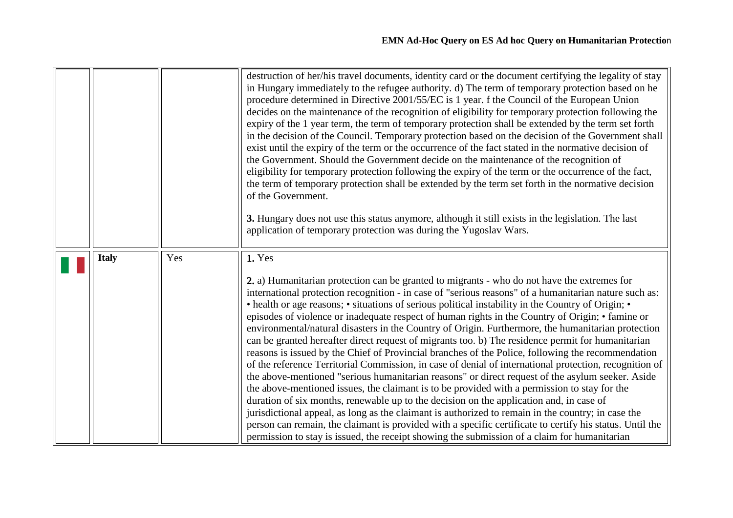<span id="page-8-0"></span>

|              |     | destruction of her/his travel documents, identity card or the document certifying the legality of stay<br>in Hungary immediately to the refugee authority. d) The term of temporary protection based on he<br>procedure determined in Directive 2001/55/EC is 1 year. f the Council of the European Union<br>decides on the maintenance of the recognition of eligibility for temporary protection following the<br>expiry of the 1 year term, the term of temporary protection shall be extended by the term set forth<br>in the decision of the Council. Temporary protection based on the decision of the Government shall<br>exist until the expiry of the term or the occurrence of the fact stated in the normative decision of<br>the Government. Should the Government decide on the maintenance of the recognition of<br>eligibility for temporary protection following the expiry of the term or the occurrence of the fact,<br>the term of temporary protection shall be extended by the term set forth in the normative decision<br>of the Government.<br>3. Hungary does not use this status anymore, although it still exists in the legislation. The last<br>application of temporary protection was during the Yugoslav Wars.                                                                                                                                                                                                                       |
|--------------|-----|---------------------------------------------------------------------------------------------------------------------------------------------------------------------------------------------------------------------------------------------------------------------------------------------------------------------------------------------------------------------------------------------------------------------------------------------------------------------------------------------------------------------------------------------------------------------------------------------------------------------------------------------------------------------------------------------------------------------------------------------------------------------------------------------------------------------------------------------------------------------------------------------------------------------------------------------------------------------------------------------------------------------------------------------------------------------------------------------------------------------------------------------------------------------------------------------------------------------------------------------------------------------------------------------------------------------------------------------------------------------------------------------------------------------------------------------------------------------|
| <b>Italy</b> | Yes | 1. Yes<br>2. a) Humanitarian protection can be granted to migrants - who do not have the extremes for<br>international protection recognition - in case of "serious reasons" of a humanitarian nature such as:<br>• health or age reasons; • situations of serious political instability in the Country of Origin; •<br>episodes of violence or inadequate respect of human rights in the Country of Origin; • famine or<br>environmental/natural disasters in the Country of Origin. Furthermore, the humanitarian protection<br>can be granted hereafter direct request of migrants too. b) The residence permit for humanitarian<br>reasons is issued by the Chief of Provincial branches of the Police, following the recommendation<br>of the reference Territorial Commission, in case of denial of international protection, recognition of<br>the above-mentioned "serious humanitarian reasons" or direct request of the asylum seeker. Aside<br>the above-mentioned issues, the claimant is to be provided with a permission to stay for the<br>duration of six months, renewable up to the decision on the application and, in case of<br>jurisdictional appeal, as long as the claimant is authorized to remain in the country; in case the<br>person can remain, the claimant is provided with a specific certificate to certify his status. Until the<br>permission to stay is issued, the receipt showing the submission of a claim for humanitarian |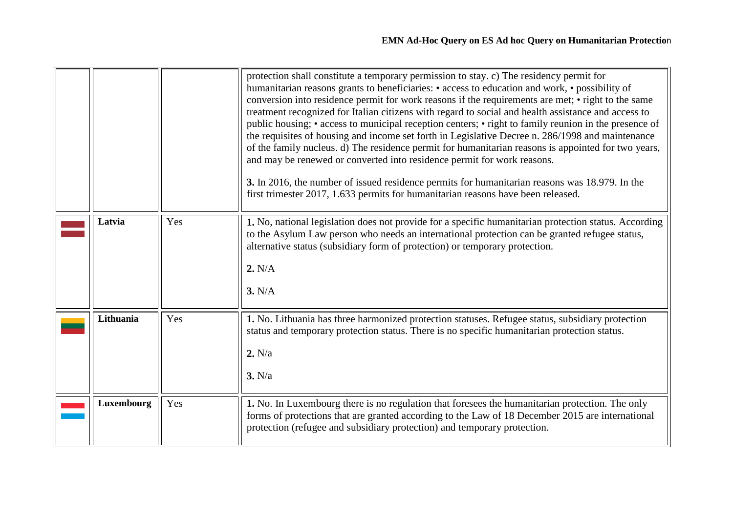<span id="page-9-2"></span><span id="page-9-1"></span><span id="page-9-0"></span>

|            |     | protection shall constitute a temporary permission to stay. c) The residency permit for<br>humanitarian reasons grants to beneficiaries: • access to education and work, • possibility of<br>conversion into residence permit for work reasons if the requirements are met; • right to the same<br>treatment recognized for Italian citizens with regard to social and health assistance and access to<br>public housing; • access to municipal reception centers; • right to family reunion in the presence of<br>the requisites of housing and income set forth in Legislative Decree n. 286/1998 and maintenance<br>of the family nucleus. d) The residence permit for humanitarian reasons is appointed for two years,<br>and may be renewed or converted into residence permit for work reasons.<br>3. In 2016, the number of issued residence permits for humanitarian reasons was 18.979. In the<br>first trimester 2017, 1.633 permits for humanitarian reasons have been released. |
|------------|-----|---------------------------------------------------------------------------------------------------------------------------------------------------------------------------------------------------------------------------------------------------------------------------------------------------------------------------------------------------------------------------------------------------------------------------------------------------------------------------------------------------------------------------------------------------------------------------------------------------------------------------------------------------------------------------------------------------------------------------------------------------------------------------------------------------------------------------------------------------------------------------------------------------------------------------------------------------------------------------------------------|
| Latvia     | Yes | 1. No, national legislation does not provide for a specific humanitarian protection status. According<br>to the Asylum Law person who needs an international protection can be granted refugee status,<br>alternative status (subsidiary form of protection) or temporary protection.<br>2. N/A<br>3. N/A                                                                                                                                                                                                                                                                                                                                                                                                                                                                                                                                                                                                                                                                                   |
| Lithuania  | Yes | 1. No. Lithuania has three harmonized protection statuses. Refugee status, subsidiary protection<br>status and temporary protection status. There is no specific humanitarian protection status.<br>2. N/a<br>3. N/a                                                                                                                                                                                                                                                                                                                                                                                                                                                                                                                                                                                                                                                                                                                                                                        |
| Luxembourg | Yes | 1. No. In Luxembourg there is no regulation that foresees the humanitarian protection. The only<br>forms of protections that are granted according to the Law of 18 December 2015 are international<br>protection (refugee and subsidiary protection) and temporary protection.                                                                                                                                                                                                                                                                                                                                                                                                                                                                                                                                                                                                                                                                                                             |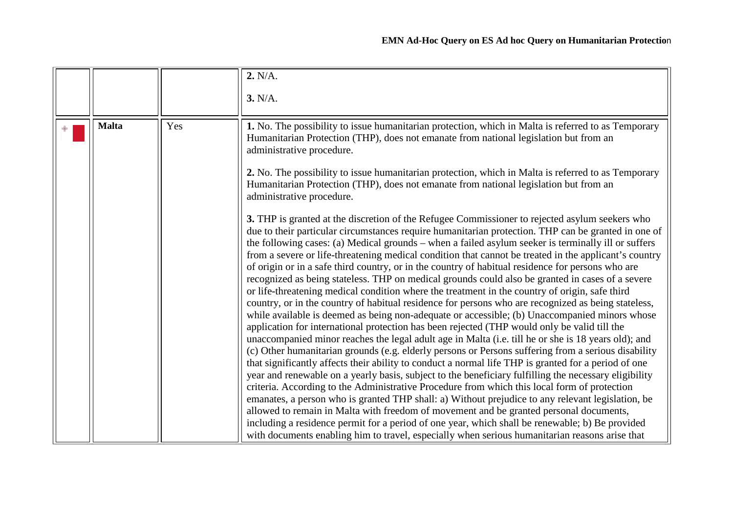<span id="page-10-0"></span>

|              |     | 2. N/A.<br>3. N/A.                                                                                                                                                                                                                                                                                                                                                                                                                                                                                                                                                                                                                                                                                                                                                                                                                                                                                                                                                                                                                                                                                                                                                                                                                                                                                                                                                                                                                                                                                                                                                                                                                                                                                                                                                                                                                                                                                                                                                          |
|--------------|-----|-----------------------------------------------------------------------------------------------------------------------------------------------------------------------------------------------------------------------------------------------------------------------------------------------------------------------------------------------------------------------------------------------------------------------------------------------------------------------------------------------------------------------------------------------------------------------------------------------------------------------------------------------------------------------------------------------------------------------------------------------------------------------------------------------------------------------------------------------------------------------------------------------------------------------------------------------------------------------------------------------------------------------------------------------------------------------------------------------------------------------------------------------------------------------------------------------------------------------------------------------------------------------------------------------------------------------------------------------------------------------------------------------------------------------------------------------------------------------------------------------------------------------------------------------------------------------------------------------------------------------------------------------------------------------------------------------------------------------------------------------------------------------------------------------------------------------------------------------------------------------------------------------------------------------------------------------------------------------------|
|              |     |                                                                                                                                                                                                                                                                                                                                                                                                                                                                                                                                                                                                                                                                                                                                                                                                                                                                                                                                                                                                                                                                                                                                                                                                                                                                                                                                                                                                                                                                                                                                                                                                                                                                                                                                                                                                                                                                                                                                                                             |
| <b>Malta</b> | Yes | 1. No. The possibility to issue humanitarian protection, which in Malta is referred to as Temporary<br>Humanitarian Protection (THP), does not emanate from national legislation but from an<br>administrative procedure.                                                                                                                                                                                                                                                                                                                                                                                                                                                                                                                                                                                                                                                                                                                                                                                                                                                                                                                                                                                                                                                                                                                                                                                                                                                                                                                                                                                                                                                                                                                                                                                                                                                                                                                                                   |
|              |     | 2. No. The possibility to issue humanitarian protection, which in Malta is referred to as Temporary<br>Humanitarian Protection (THP), does not emanate from national legislation but from an<br>administrative procedure.                                                                                                                                                                                                                                                                                                                                                                                                                                                                                                                                                                                                                                                                                                                                                                                                                                                                                                                                                                                                                                                                                                                                                                                                                                                                                                                                                                                                                                                                                                                                                                                                                                                                                                                                                   |
|              |     | 3. THP is granted at the discretion of the Refugee Commissioner to rejected asylum seekers who<br>due to their particular circumstances require humanitarian protection. THP can be granted in one of<br>the following cases: (a) Medical grounds – when a failed asylum seeker is terminally ill or suffers<br>from a severe or life-threatening medical condition that cannot be treated in the applicant's country<br>of origin or in a safe third country, or in the country of habitual residence for persons who are<br>recognized as being stateless. THP on medical grounds could also be granted in cases of a severe<br>or life-threatening medical condition where the treatment in the country of origin, safe third<br>country, or in the country of habitual residence for persons who are recognized as being stateless,<br>while available is deemed as being non-adequate or accessible; (b) Unaccompanied minors whose<br>application for international protection has been rejected (THP would only be valid till the<br>unaccompanied minor reaches the legal adult age in Malta (i.e. till he or she is 18 years old); and<br>(c) Other humanitarian grounds (e.g. elderly persons or Persons suffering from a serious disability<br>that significantly affects their ability to conduct a normal life THP is granted for a period of one<br>year and renewable on a yearly basis, subject to the beneficiary fulfilling the necessary eligibility<br>criteria. According to the Administrative Procedure from which this local form of protection<br>emanates, a person who is granted THP shall: a) Without prejudice to any relevant legislation, be<br>allowed to remain in Malta with freedom of movement and be granted personal documents,<br>including a residence permit for a period of one year, which shall be renewable; b) Be provided<br>with documents enabling him to travel, especially when serious humanitarian reasons arise that |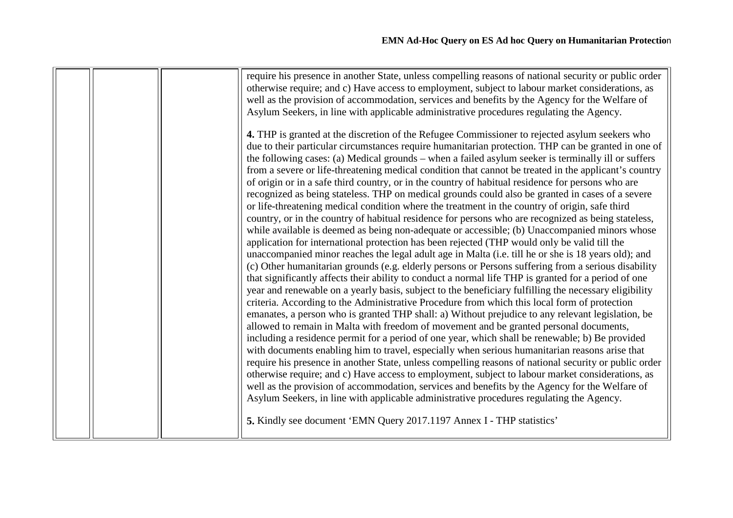|  | require his presence in another State, unless compelling reasons of national security or public order |
|--|-------------------------------------------------------------------------------------------------------|
|  | otherwise require; and c) Have access to employment, subject to labour market considerations, as      |
|  | well as the provision of accommodation, services and benefits by the Agency for the Welfare of        |
|  | Asylum Seekers, in line with applicable administrative procedures regulating the Agency.              |
|  |                                                                                                       |
|  | 4. THP is granted at the discretion of the Refugee Commissioner to rejected asylum seekers who        |
|  | due to their particular circumstances require humanitarian protection. THP can be granted in one of   |
|  |                                                                                                       |
|  | the following cases: (a) Medical grounds – when a failed asylum seeker is terminally ill or suffers   |
|  | from a severe or life-threatening medical condition that cannot be treated in the applicant's country |
|  | of origin or in a safe third country, or in the country of habitual residence for persons who are     |
|  | recognized as being stateless. THP on medical grounds could also be granted in cases of a severe      |
|  | or life-threatening medical condition where the treatment in the country of origin, safe third        |
|  | country, or in the country of habitual residence for persons who are recognized as being stateless,   |
|  | while available is deemed as being non-adequate or accessible; (b) Unaccompanied minors whose         |
|  | application for international protection has been rejected (THP would only be valid till the          |
|  | unaccompanied minor reaches the legal adult age in Malta (i.e. till he or she is 18 years old); and   |
|  |                                                                                                       |
|  | (c) Other humanitarian grounds (e.g. elderly persons or Persons suffering from a serious disability   |
|  | that significantly affects their ability to conduct a normal life THP is granted for a period of one  |
|  | year and renewable on a yearly basis, subject to the beneficiary fulfilling the necessary eligibility |
|  | criteria. According to the Administrative Procedure from which this local form of protection          |
|  | emanates, a person who is granted THP shall: a) Without prejudice to any relevant legislation, be     |
|  | allowed to remain in Malta with freedom of movement and be granted personal documents,                |
|  | including a residence permit for a period of one year, which shall be renewable; b) Be provided       |
|  | with documents enabling him to travel, especially when serious humanitarian reasons arise that        |
|  | require his presence in another State, unless compelling reasons of national security or public order |
|  |                                                                                                       |
|  | otherwise require; and c) Have access to employment, subject to labour market considerations, as      |
|  | well as the provision of accommodation, services and benefits by the Agency for the Welfare of        |
|  | Asylum Seekers, in line with applicable administrative procedures regulating the Agency.              |
|  | 5. Kindly see document 'EMN Query 2017.1197 Annex I - THP statistics'                                 |
|  |                                                                                                       |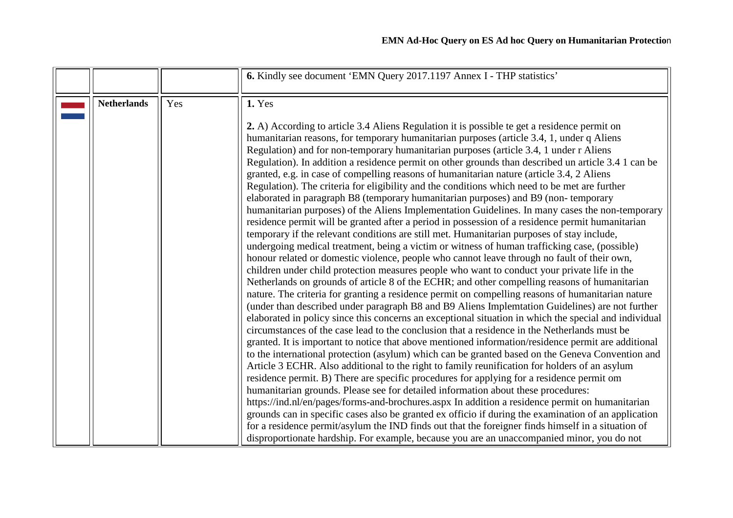<span id="page-12-0"></span>

|                    |     | 6. Kindly see document 'EMN Query 2017.1197 Annex I - THP statistics'                                                                                                                                                                                                                                                                                                                                                                                                                                                                                                                                                                                                                                                                                                                                                                                                                                                                                                                                                                                                                                                                                                                                                                                                                                                                                                                                                                                                                                                                                                                                                                                                                                                                                                                                                                                                                                                                                                                                                                                                                                                                                                                                                                                                                                                                                                                                                                                                                                                                                                                                                                                                                                              |
|--------------------|-----|--------------------------------------------------------------------------------------------------------------------------------------------------------------------------------------------------------------------------------------------------------------------------------------------------------------------------------------------------------------------------------------------------------------------------------------------------------------------------------------------------------------------------------------------------------------------------------------------------------------------------------------------------------------------------------------------------------------------------------------------------------------------------------------------------------------------------------------------------------------------------------------------------------------------------------------------------------------------------------------------------------------------------------------------------------------------------------------------------------------------------------------------------------------------------------------------------------------------------------------------------------------------------------------------------------------------------------------------------------------------------------------------------------------------------------------------------------------------------------------------------------------------------------------------------------------------------------------------------------------------------------------------------------------------------------------------------------------------------------------------------------------------------------------------------------------------------------------------------------------------------------------------------------------------------------------------------------------------------------------------------------------------------------------------------------------------------------------------------------------------------------------------------------------------------------------------------------------------------------------------------------------------------------------------------------------------------------------------------------------------------------------------------------------------------------------------------------------------------------------------------------------------------------------------------------------------------------------------------------------------------------------------------------------------------------------------------------------------|
| <b>Netherlands</b> | Yes | 1. Yes                                                                                                                                                                                                                                                                                                                                                                                                                                                                                                                                                                                                                                                                                                                                                                                                                                                                                                                                                                                                                                                                                                                                                                                                                                                                                                                                                                                                                                                                                                                                                                                                                                                                                                                                                                                                                                                                                                                                                                                                                                                                                                                                                                                                                                                                                                                                                                                                                                                                                                                                                                                                                                                                                                             |
|                    |     | 2. A) According to article 3.4 Aliens Regulation it is possible te get a residence permit on<br>humanitarian reasons, for temporary humanitarian purposes (article 3.4, 1, under q Aliens<br>Regulation) and for non-temporary humanitarian purposes (article 3.4, 1 under r Aliens<br>Regulation). In addition a residence permit on other grounds than described un article 3.4 1 can be<br>granted, e.g. in case of compelling reasons of humanitarian nature (article 3.4, 2 Aliens<br>Regulation). The criteria for eligibility and the conditions which need to be met are further<br>elaborated in paragraph B8 (temporary humanitarian purposes) and B9 (non-temporary<br>humanitarian purposes) of the Aliens Implementation Guidelines. In many cases the non-temporary<br>residence permit will be granted after a period in possession of a residence permit humanitarian<br>temporary if the relevant conditions are still met. Humanitarian purposes of stay include,<br>undergoing medical treatment, being a victim or witness of human trafficking case, (possible)<br>honour related or domestic violence, people who cannot leave through no fault of their own,<br>children under child protection measures people who want to conduct your private life in the<br>Netherlands on grounds of article 8 of the ECHR; and other compelling reasons of humanitarian<br>nature. The criteria for granting a residence permit on compelling reasons of humanitarian nature<br>(under than described under paragraph B8 and B9 Aliens Implemtation Guidelines) are not further<br>elaborated in policy since this concerns an exceptional situation in which the special and individual<br>circumstances of the case lead to the conclusion that a residence in the Netherlands must be<br>granted. It is important to notice that above mentioned information/residence permit are additional<br>to the international protection (asylum) which can be granted based on the Geneva Convention and<br>Article 3 ECHR. Also additional to the right to family reunification for holders of an asylum<br>residence permit. B) There are specific procedures for applying for a residence permit om<br>humanitarian grounds. Please see for detailed information about these procedures:<br>https://ind.nl/en/pages/forms-and-brochures.aspx In addition a residence permit on humanitarian<br>grounds can in specific cases also be granted ex officio if during the examination of an application<br>for a residence permit/asylum the IND finds out that the foreigner finds himself in a situation of<br>disproportionate hardship. For example, because you are an unaccompanied minor, you do not |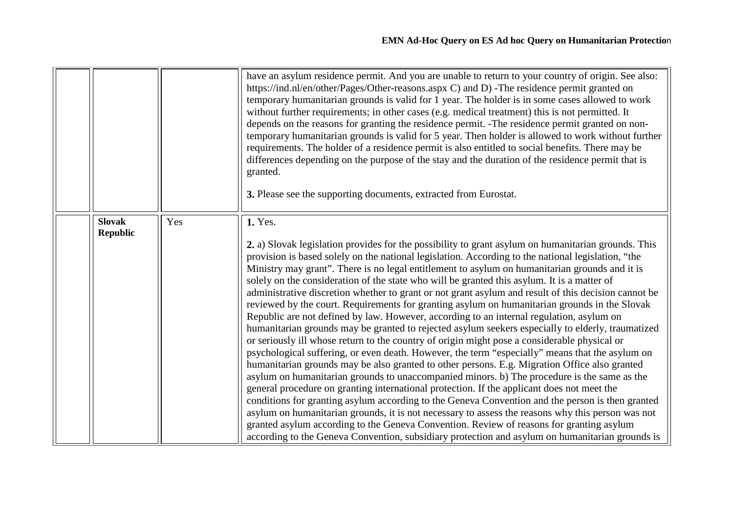<span id="page-13-0"></span>

|                                  |     | have an asylum residence permit. And you are unable to return to your country of origin. See also:<br>https://ind.nl/en/other/Pages/Other-reasons.aspx C) and D) -The residence permit granted on<br>temporary humanitarian grounds is valid for 1 year. The holder is in some cases allowed to work<br>without further requirements; in other cases (e.g. medical treatment) this is not permitted. It<br>depends on the reasons for granting the residence permit. -The residence permit granted on non-<br>temporary humanitarian grounds is valid for 5 year. Then holder is allowed to work without further<br>requirements. The holder of a residence permit is also entitled to social benefits. There may be<br>differences depending on the purpose of the stay and the duration of the residence permit that is<br>granted.<br>3. Please see the supporting documents, extracted from Eurostat.                                                                                                                                                                                                                                                                                                                                                                                                                                                                                                                                                                                                                                                                                                                                                                                                                                |
|----------------------------------|-----|------------------------------------------------------------------------------------------------------------------------------------------------------------------------------------------------------------------------------------------------------------------------------------------------------------------------------------------------------------------------------------------------------------------------------------------------------------------------------------------------------------------------------------------------------------------------------------------------------------------------------------------------------------------------------------------------------------------------------------------------------------------------------------------------------------------------------------------------------------------------------------------------------------------------------------------------------------------------------------------------------------------------------------------------------------------------------------------------------------------------------------------------------------------------------------------------------------------------------------------------------------------------------------------------------------------------------------------------------------------------------------------------------------------------------------------------------------------------------------------------------------------------------------------------------------------------------------------------------------------------------------------------------------------------------------------------------------------------------------------|
| <b>Slovak</b><br><b>Republic</b> | Yes | 1. Yes.<br>2. a) Slovak legislation provides for the possibility to grant asylum on humanitarian grounds. This<br>provision is based solely on the national legislation. According to the national legislation, "the<br>Ministry may grant". There is no legal entitlement to asylum on humanitarian grounds and it is<br>solely on the consideration of the state who will be granted this asylum. It is a matter of<br>administrative discretion whether to grant or not grant asylum and result of this decision cannot be<br>reviewed by the court. Requirements for granting asylum on humanitarian grounds in the Slovak<br>Republic are not defined by law. However, according to an internal regulation, asylum on<br>humanitarian grounds may be granted to rejected asylum seekers especially to elderly, traumatized<br>or seriously ill whose return to the country of origin might pose a considerable physical or<br>psychological suffering, or even death. However, the term "especially" means that the asylum on<br>humanitarian grounds may be also granted to other persons. E.g. Migration Office also granted<br>asylum on humanitarian grounds to unaccompanied minors. b) The procedure is the same as the<br>general procedure on granting international protection. If the applicant does not meet the<br>conditions for granting asylum according to the Geneva Convention and the person is then granted<br>asylum on humanitarian grounds, it is not necessary to assess the reasons why this person was not<br>granted asylum according to the Geneva Convention. Review of reasons for granting asylum<br>according to the Geneva Convention, subsidiary protection and asylum on humanitarian grounds is |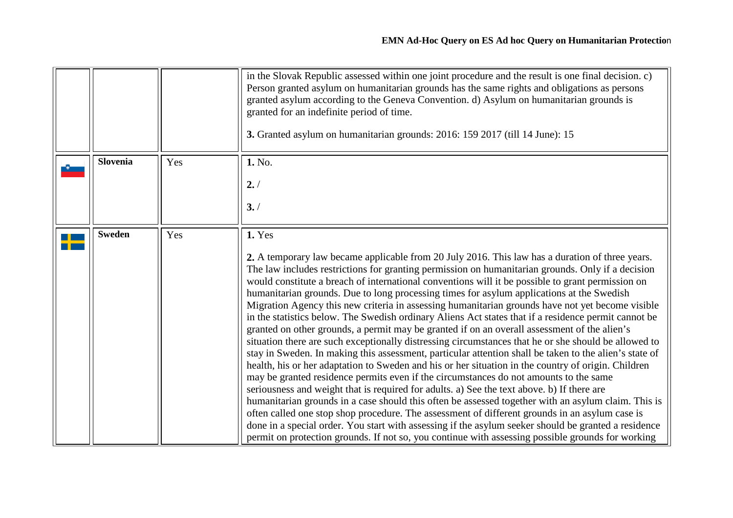<span id="page-14-1"></span><span id="page-14-0"></span>

|                 |     | in the Slovak Republic assessed within one joint procedure and the result is one final decision. c)<br>Person granted asylum on humanitarian grounds has the same rights and obligations as persons<br>granted asylum according to the Geneva Convention. d) Asylum on humanitarian grounds is<br>granted for an indefinite period of time.<br>3. Granted asylum on humanitarian grounds: 2016: 159 2017 (till 14 June): 15                                                                                                                                                                                                                                                                                                                                                                                                                                                                                                                                                                                                                                                                                                                                                                                                                                                                                                                                                                                                                                                                                                                                                                                                                                        |
|-----------------|-----|--------------------------------------------------------------------------------------------------------------------------------------------------------------------------------------------------------------------------------------------------------------------------------------------------------------------------------------------------------------------------------------------------------------------------------------------------------------------------------------------------------------------------------------------------------------------------------------------------------------------------------------------------------------------------------------------------------------------------------------------------------------------------------------------------------------------------------------------------------------------------------------------------------------------------------------------------------------------------------------------------------------------------------------------------------------------------------------------------------------------------------------------------------------------------------------------------------------------------------------------------------------------------------------------------------------------------------------------------------------------------------------------------------------------------------------------------------------------------------------------------------------------------------------------------------------------------------------------------------------------------------------------------------------------|
| <b>Slovenia</b> | Yes | 1. No.<br>2. /<br>3. /                                                                                                                                                                                                                                                                                                                                                                                                                                                                                                                                                                                                                                                                                                                                                                                                                                                                                                                                                                                                                                                                                                                                                                                                                                                                                                                                                                                                                                                                                                                                                                                                                                             |
| <b>Sweden</b>   | Yes | 1. Yes<br>2. A temporary law became applicable from 20 July 2016. This law has a duration of three years.<br>The law includes restrictions for granting permission on humanitarian grounds. Only if a decision<br>would constitute a breach of international conventions will it be possible to grant permission on<br>humanitarian grounds. Due to long processing times for asylum applications at the Swedish<br>Migration Agency this new criteria in assessing humanitarian grounds have not yet become visible<br>in the statistics below. The Swedish ordinary Aliens Act states that if a residence permit cannot be<br>granted on other grounds, a permit may be granted if on an overall assessment of the alien's<br>situation there are such exceptionally distressing circumstances that he or she should be allowed to<br>stay in Sweden. In making this assessment, particular attention shall be taken to the alien's state of<br>health, his or her adaptation to Sweden and his or her situation in the country of origin. Children<br>may be granted residence permits even if the circumstances do not amounts to the same<br>seriousness and weight that is required for adults. a) See the text above. b) If there are<br>humanitarian grounds in a case should this often be assessed together with an asylum claim. This is<br>often called one stop shop procedure. The assessment of different grounds in an asylum case is<br>done in a special order. You start with assessing if the asylum seeker should be granted a residence<br>permit on protection grounds. If not so, you continue with assessing possible grounds for working |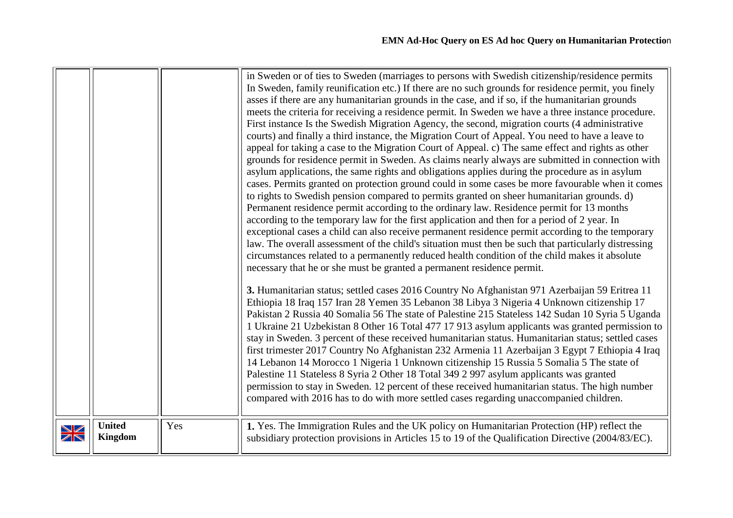<span id="page-15-0"></span>

|                                                           |                                 |     | in Sweden or of ties to Sweden (marriages to persons with Swedish citizenship/residence permits<br>In Sweden, family reunification etc.) If there are no such grounds for residence permit, you finely<br>asses if there are any humanitarian grounds in the case, and if so, if the humanitarian grounds<br>meets the criteria for receiving a residence permit. In Sweden we have a three instance procedure.<br>First instance Is the Swedish Migration Agency, the second, migration courts (4 administrative<br>courts) and finally a third instance, the Migration Court of Appeal. You need to have a leave to<br>appeal for taking a case to the Migration Court of Appeal. c) The same effect and rights as other<br>grounds for residence permit in Sweden. As claims nearly always are submitted in connection with<br>asylum applications, the same rights and obligations applies during the procedure as in asylum<br>cases. Permits granted on protection ground could in some cases be more favourable when it comes<br>to rights to Swedish pension compared to permits granted on sheer humanitarian grounds. d)<br>Permanent residence permit according to the ordinary law. Residence permit for 13 months<br>according to the temporary law for the first application and then for a period of 2 year. In<br>exceptional cases a child can also receive permanent residence permit according to the temporary<br>law. The overall assessment of the child's situation must then be such that particularly distressing<br>circumstances related to a permanently reduced health condition of the child makes it absolute<br>necessary that he or she must be granted a permanent residence permit.<br>3. Humanitarian status; settled cases 2016 Country No Afghanistan 971 Azerbaijan 59 Eritrea 11<br>Ethiopia 18 Iraq 157 Iran 28 Yemen 35 Lebanon 38 Libya 3 Nigeria 4 Unknown citizenship 17<br>Pakistan 2 Russia 40 Somalia 56 The state of Palestine 215 Stateless 142 Sudan 10 Syria 5 Uganda<br>1 Ukraine 21 Uzbekistan 8 Other 16 Total 477 17 913 asylum applicants was granted permission to<br>stay in Sweden. 3 percent of these received humanitarian status. Humanitarian status; settled cases<br>first trimester 2017 Country No Afghanistan 232 Armenia 11 Azerbaijan 3 Egypt 7 Ethiopia 4 Iraq<br>14 Lebanon 14 Morocco 1 Nigeria 1 Unknown citizenship 15 Russia 5 Somalia 5 The state of<br>Palestine 11 Stateless 8 Syria 2 Other 18 Total 349 2 997 asylum applicants was granted |
|-----------------------------------------------------------|---------------------------------|-----|-------------------------------------------------------------------------------------------------------------------------------------------------------------------------------------------------------------------------------------------------------------------------------------------------------------------------------------------------------------------------------------------------------------------------------------------------------------------------------------------------------------------------------------------------------------------------------------------------------------------------------------------------------------------------------------------------------------------------------------------------------------------------------------------------------------------------------------------------------------------------------------------------------------------------------------------------------------------------------------------------------------------------------------------------------------------------------------------------------------------------------------------------------------------------------------------------------------------------------------------------------------------------------------------------------------------------------------------------------------------------------------------------------------------------------------------------------------------------------------------------------------------------------------------------------------------------------------------------------------------------------------------------------------------------------------------------------------------------------------------------------------------------------------------------------------------------------------------------------------------------------------------------------------------------------------------------------------------------------------------------------------------------------------------------------------------------------------------------------------------------------------------------------------------------------------------------------------------------------------------------------------------------------------------------------------------------------------------------------------------------------------------------------------------------------------------------------------------------------------------------------------------------------|
| $\blacktriangledown$<br>$\overline{\mathbb{Z}}\mathbb{N}$ | <b>United</b><br><b>Kingdom</b> | Yes | permission to stay in Sweden. 12 percent of these received humanitarian status. The high number<br>compared with 2016 has to do with more settled cases regarding unaccompanied children.<br>1. Yes. The Immigration Rules and the UK policy on Humanitarian Protection (HP) reflect the<br>subsidiary protection provisions in Articles 15 to 19 of the Qualification Directive (2004/83/EC).                                                                                                                                                                                                                                                                                                                                                                                                                                                                                                                                                                                                                                                                                                                                                                                                                                                                                                                                                                                                                                                                                                                                                                                                                                                                                                                                                                                                                                                                                                                                                                                                                                                                                                                                                                                                                                                                                                                                                                                                                                                                                                                                |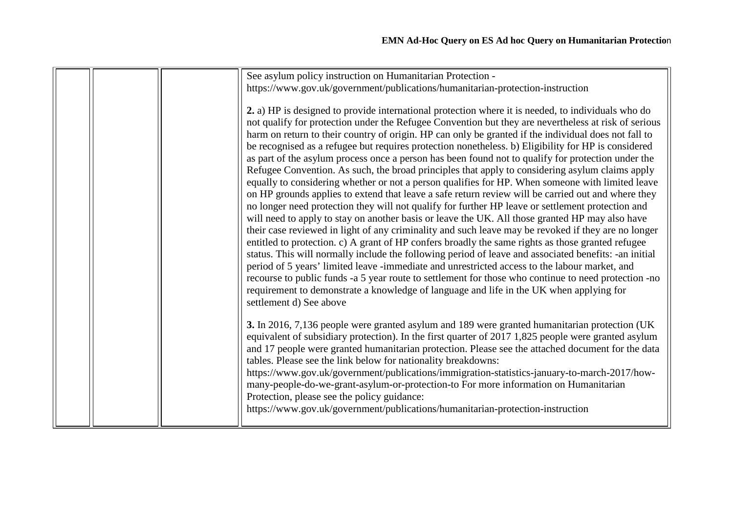|  | See asylum policy instruction on Humanitarian Protection -                                            |
|--|-------------------------------------------------------------------------------------------------------|
|  | https://www.gov.uk/government/publications/humanitarian-protection-instruction                        |
|  |                                                                                                       |
|  | 2. a) HP is designed to provide international protection where it is needed, to individuals who do    |
|  | not qualify for protection under the Refugee Convention but they are nevertheless at risk of serious  |
|  | harm on return to their country of origin. HP can only be granted if the individual does not fall to  |
|  | be recognised as a refugee but requires protection nonetheless. b) Eligibility for HP is considered   |
|  | as part of the asylum process once a person has been found not to qualify for protection under the    |
|  | Refugee Convention. As such, the broad principles that apply to considering asylum claims apply       |
|  | equally to considering whether or not a person qualifies for HP. When someone with limited leave      |
|  | on HP grounds applies to extend that leave a safe return review will be carried out and where they    |
|  | no longer need protection they will not qualify for further HP leave or settlement protection and     |
|  | will need to apply to stay on another basis or leave the UK. All those granted HP may also have       |
|  | their case reviewed in light of any criminality and such leave may be revoked if they are no longer   |
|  | entitled to protection. c) A grant of HP confers broadly the same rights as those granted refugee     |
|  | status. This will normally include the following period of leave and associated benefits: -an initial |
|  | period of 5 years' limited leave -immediate and unrestricted access to the labour market, and         |
|  | recourse to public funds -a 5 year route to settlement for those who continue to need protection -no  |
|  | requirement to demonstrate a knowledge of language and life in the UK when applying for               |
|  | settlement d) See above                                                                               |
|  |                                                                                                       |
|  | 3. In 2016, 7,136 people were granted asylum and 189 were granted humanitarian protection (UK         |
|  | equivalent of subsidiary protection). In the first quarter of 2017 1,825 people were granted asylum   |
|  | and 17 people were granted humanitarian protection. Please see the attached document for the data     |
|  | tables. Please see the link below for nationality breakdowns:                                         |
|  | https://www.gov.uk/government/publications/immigration-statistics-january-to-march-2017/how-          |
|  | many-people-do-we-grant-asylum-or-protection-to For more information on Humanitarian                  |
|  | Protection, please see the policy guidance:                                                           |
|  | https://www.gov.uk/government/publications/humanitarian-protection-instruction                        |
|  |                                                                                                       |